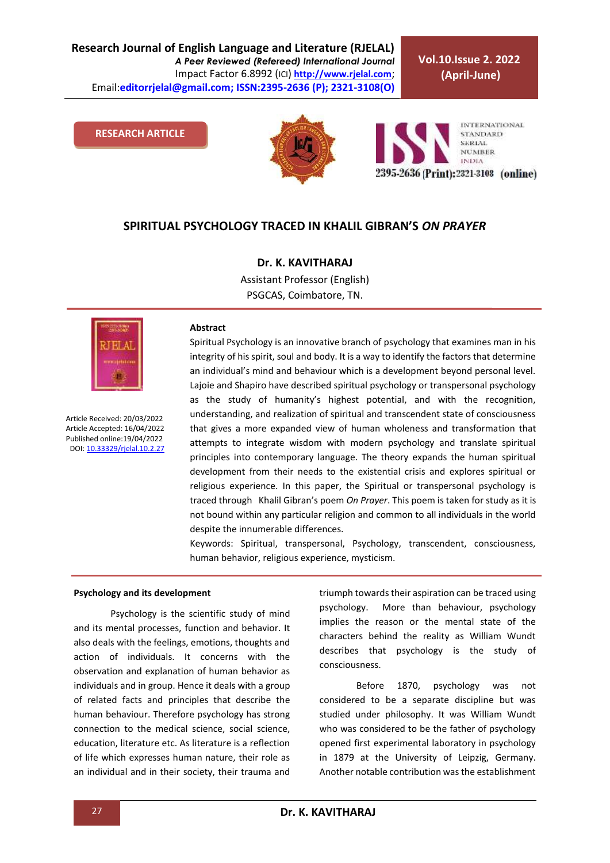**Research Journal of English Language and Literature (RJELAL)** *A Peer Reviewed (Refereed) International Journal* Impact Factor 6.8992 (ICI) **[http://www.rjelal.com](http://www.rjelal.com/)**; Email:**editorrjelal@gmail.com; ISSN:2395-2636 (P); 2321-3108(O)** 

**Vol.10.Issue 2. 2022 (April-June)**

#### **RESEARCH ARTICLE**



**INTERNATIONAL STANDARD** SERIAL **NUMBER INDIA** 2395-2636 (Print): 2321-3108 (online)

### **SPIRITUAL PSYCHOLOGY TRACED IN KHALIL GIBRAN'S** *ON PRAYER*

# **Dr. K. KAVITHARAJ**

Assistant Professor (English) PSGCAS, Coimbatore, TN.



Article Received: 20/03/2022 Article Accepted: 16/04/2022 Published online:19/04/2022 DOI[: 10.33329/rjelal.10.2.2](http://www.rjelal.com/)7

#### **Abstract**

Spiritual Psychology is an innovative branch of psychology that examines man in his integrity of his spirit, soul and body. It is a way to identify the factors that determine an individual's mind and behaviour which is a development beyond personal level. Lajoie and Shapiro have described spiritual psychology or transpersonal psychology as the study of humanity's highest potential, and with the recognition, understanding, and realization of spiritual and transcendent state of consciousness that gives a more expanded view of human wholeness and transformation that attempts to integrate wisdom with modern psychology and translate spiritual principles into contemporary language. The theory expands the human spiritual development from their needs to the existential crisis and explores spiritual or religious experience. In this paper, the Spiritual or transpersonal psychology is traced through Khalil Gibran's poem *On Prayer*. This poem is taken for study as it is not bound within any particular religion and common to all individuals in the world despite the innumerable differences.

Keywords: Spiritual, transpersonal, Psychology, transcendent, consciousness, human behavior, religious experience, mysticism.

#### **Psychology and its development**

Psychology is the scientific study of mind and its mental processes, function and behavior. It also deals with the feelings, emotions, thoughts and action of individuals. It concerns with the observation and explanation of human behavior as individuals and in group. Hence it deals with a group of related facts and principles that describe the human behaviour. Therefore psychology has strong connection to the medical science, social science, education, literature etc. As literature is a reflection of life which expresses human nature, their role as an individual and in their society, their trauma and triumph towards their aspiration can be traced using psychology. More than behaviour, psychology implies the reason or the mental state of the characters behind the reality as William Wundt describes that psychology is the study of consciousness.

Before 1870, psychology was not considered to be a separate discipline but was studied under philosophy. It was William Wundt who was considered to be the father of psychology opened first experimental laboratory in psychology in 1879 at the University of Leipzig, Germany. Another notable contribution was the establishment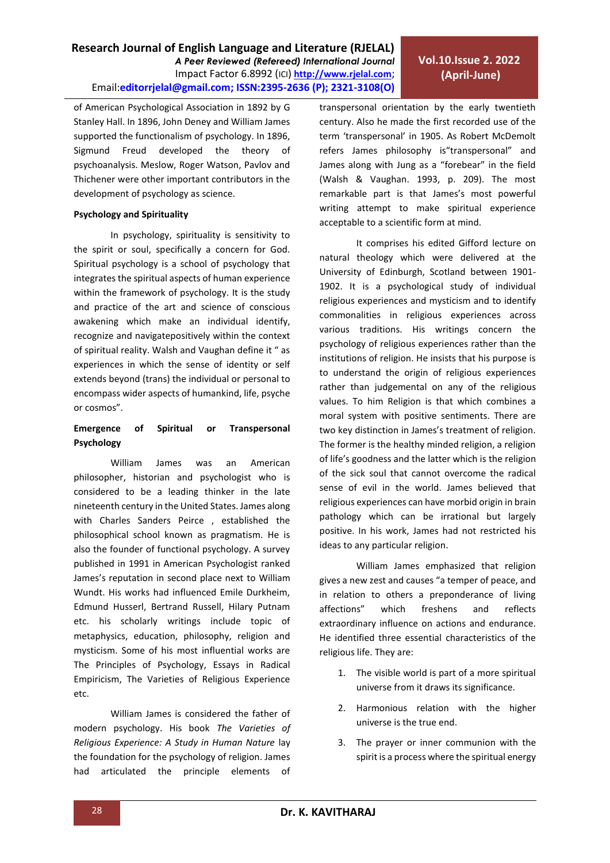**Vol.10.Issue 2. 2022 (April-June)**

of American Psychological Association in 1892 by G Stanley Hall. In 1896, John Deney and William James supported the functionalism of psychology. In 1896, Sigmund Freud developed the theory of psychoanalysis. Meslow, Roger Watson, Pavlov and Thichener were other important contributors in the development of psychology as science.

#### **Psychology and Spirituality**

In psychology, spirituality is sensitivity to the spirit or soul, specifically a concern for God. Spiritual psychology is a school of psychology that integrates the spiritual aspects of human experience within the framework of psychology. It is the study and practice of the art and science of conscious awakening which make an individual identify, recognize and navigatepositively within the context of spiritual reality. Walsh and Vaughan define it " as experiences in which the sense of identity or self extends beyond (trans) the individual or personal to encompass wider aspects of humankind, life, psyche or cosmos".

### **Emergence of Spiritual or Transpersonal Psychology**

William James was an American philosopher, historian and psychologist who is considered to be a leading thinker in the late nineteenth century in the United States. James along with Charles Sanders Peirce , established the philosophical school known as pragmatism. He is also the founder of functional psychology. A survey published in 1991 in American Psychologist ranked James's reputation in second place next to William Wundt. His works had influenced Emile Durkheim, Edmund Husserl, Bertrand Russell, Hilary Putnam etc. his scholarly writings include topic of metaphysics, education, philosophy, religion and mysticism. Some of his most influential works are The Principles of Psychology, Essays in Radical Empiricism, The Varieties of Religious Experience etc.

William James is considered the father of modern psychology. His book *The Varieties of Religious Experience: A Study in Human Nature* lay the foundation for the psychology of religion. James had articulated the principle elements of

transpersonal orientation by the early twentieth century. Also he made the first recorded use of the term 'transpersonal' in 1905. As Robert McDemolt refers James philosophy is"transpersonal" and James along with Jung as a "forebear" in the field (Walsh & Vaughan. 1993, p. 209). The most remarkable part is that James's most powerful writing attempt to make spiritual experience acceptable to a scientific form at mind.

It comprises his edited Gifford lecture on natural theology which were delivered at the University of Edinburgh, Scotland between 1901- 1902. It is a psychological study of individual religious experiences and mysticism and to identify commonalities in religious experiences across various traditions. His writings concern the psychology of religious experiences rather than the institutions of religion. He insists that his purpose is to understand the origin of religious experiences rather than judgemental on any of the religious values. To him Religion is that which combines a moral system with positive sentiments. There are two key distinction in James's treatment of religion. The former is the healthy minded religion, a religion of life's goodness and the latter which is the religion of the sick soul that cannot overcome the radical sense of evil in the world. James believed that religious experiences can have morbid origin in brain pathology which can be irrational but largely positive. In his work, James had not restricted his ideas to any particular religion.

William James emphasized that religion gives a new zest and causes "a temper of peace, and in relation to others a preponderance of living affections" which freshens and reflects extraordinary influence on actions and endurance. He identified three essential characteristics of the religious life. They are:

- 1. The visible world is part of a more spiritual universe from it draws its significance.
- 2. Harmonious relation with the higher universe is the true end.
- 3. The prayer or inner communion with the spirit is a process where the spiritual energy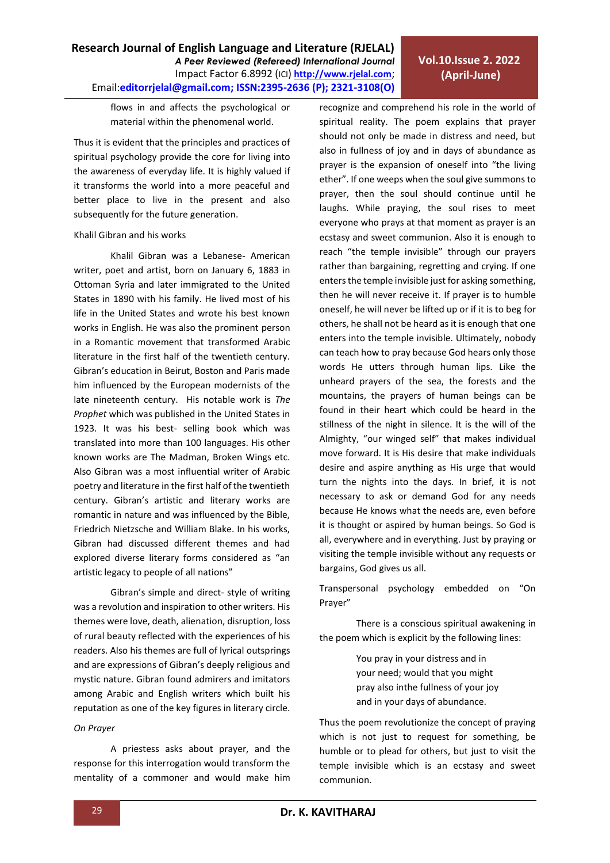Email:**editorrjelal@gmail.com; ISSN:2395-2636 (P); 2321-3108(O)**  flows in and affects the psychological or material within the phenomenal world. Thus it is evident that the principles and practices of

**Research Journal of English Language and Literature (RJELAL)**

*A Peer Reviewed (Refereed) International Journal* Impact Factor 6.8992 (ICI) **[http://www.rjelal.com](http://www.rjelal.com/)**;

spiritual psychology provide the core for living into the awareness of everyday life. It is highly valued if it transforms the world into a more peaceful and better place to live in the present and also subsequently for the future generation.

### Khalil Gibran and his works

Khalil Gibran was a Lebanese- American writer, poet and artist, born on January 6, 1883 in Ottoman Syria and later immigrated to the United States in 1890 with his family. He lived most of his life in the United States and wrote his best known works in English. He was also the prominent person in a Romantic movement that transformed Arabic literature in the first half of the twentieth century. Gibran's education in Beirut, Boston and Paris made him influenced by the European modernists of the late nineteenth century. His notable work is *The Prophet* which was published in the United States in 1923. It was his best- selling book which was translated into more than 100 languages. His other known works are The Madman, Broken Wings etc. Also Gibran was a most influential writer of Arabic poetry and literature in the first half of the twentieth century. Gibran's artistic and literary works are romantic in nature and was influenced by the Bible, Friedrich Nietzsche and William Blake. In his works, Gibran had discussed different themes and had explored diverse literary forms considered as "an artistic legacy to people of all nations"

Gibran's simple and direct- style of writing was a revolution and inspiration to other writers. His themes were love, death, alienation, disruption, loss of rural beauty reflected with the experiences of his readers. Also his themes are full of lyrical outsprings and are expressions of Gibran's deeply religious and mystic nature. Gibran found admirers and imitators among Arabic and English writers which built his reputation as one of the key figures in literary circle.

# *On Prayer*

A priestess asks about prayer, and the response for this interrogation would transform the mentality of a commoner and would make him recognize and comprehend his role in the world of spiritual reality. The poem explains that prayer should not only be made in distress and need, but also in fullness of joy and in days of abundance as prayer is the expansion of oneself into "the living ether". If one weeps when the soul give summons to prayer, then the soul should continue until he laughs. While praying, the soul rises to meet everyone who prays at that moment as prayer is an ecstasy and sweet communion. Also it is enough to reach "the temple invisible" through our prayers rather than bargaining, regretting and crying. If one enters the temple invisible just for asking something, then he will never receive it. If prayer is to humble oneself, he will never be lifted up or if it is to beg for others, he shall not be heard as it is enough that one enters into the temple invisible. Ultimately, nobody can teach how to pray because God hears only those words He utters through human lips. Like the unheard prayers of the sea, the forests and the mountains, the prayers of human beings can be found in their heart which could be heard in the stillness of the night in silence. It is the will of the Almighty, "our winged self" that makes individual move forward. It is His desire that make individuals desire and aspire anything as His urge that would turn the nights into the days. In brief, it is not necessary to ask or demand God for any needs because He knows what the needs are, even before it is thought or aspired by human beings. So God is all, everywhere and in everything. Just by praying or visiting the temple invisible without any requests or bargains, God gives us all.

Transpersonal psychology embedded on "On Prayer"

There is a conscious spiritual awakening in the poem which is explicit by the following lines:

> You pray in your distress and in your need; would that you might pray also inthe fullness of your joy and in your days of abundance.

Thus the poem revolutionize the concept of praying which is not just to request for something, be humble or to plead for others, but just to visit the temple invisible which is an ecstasy and sweet communion.